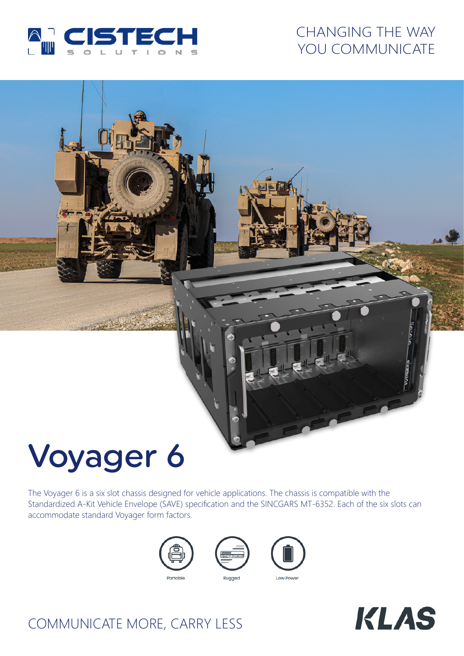

## CHANGING THE WAY YOU COMMUNICATE

# Voyager 6

The Voyager 6 is a six slot chassis designed for vehicle applications. The chassis is compatible with the Standardized A-Kit Vehicle Envelope (SAVE) specification and the SINCGARS MT-6352. Each of the six slots can accommodate standard Voyager form factors.









## COMMUNICATE MORE, CARRY LESS